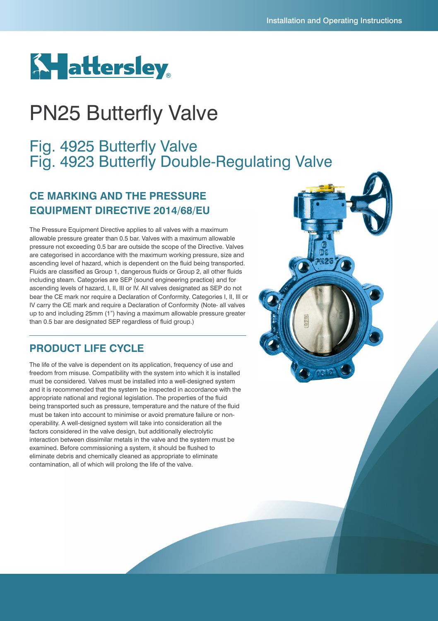# **Ky**attersley

## PN25 Butterfly Valve

## Fig. 4925 Butterfly Valve Fig. 4923 Butterfly Double-Regulating Valve

## **CE MARKING AND THE PRESSURE EQUIPMENT DIRECTIVE 2014/68/EU**

The Pressure Equipment Directive applies to all valves with a maximum allowable pressure greater than 0.5 bar. Valves with a maximum allowable pressure not exceeding 0.5 bar are outside the scope of the Directive. Valves are categorised in accordance with the maximum working pressure, size and ascending level of hazard, which is dependent on the fluid being transported. Fluids are classified as Group 1, dangerous fluids or Group 2, all other fluids including steam. Categories are SEP (sound engineering practice) and for ascending levels of hazard, I, II, III or IV. All valves designated as SEP do not bear the CE mark nor require a Declaration of Conformity. Categories I, II, III or IV carry the CE mark and require a Declaration of Conformity (Note- all valves up to and including 25mm (1") having a maximum allowable pressure greater than 0.5 bar are designated SEP regardless of fluid group.)

### **PRODUCT LIFE CYCLE**

The life of the valve is dependent on its application, frequency of use and freedom from misuse. Compatibility with the system into which it is installed must be considered. Valves must be installed into a well-designed system and it is recommended that the system be inspected in accordance with the appropriate national and regional legislation. The properties of the fluid being transported such as pressure, temperature and the nature of the fluid must be taken into account to minimise or avoid premature failure or nonoperability. A well-designed system will take into consideration all the factors considered in the valve design, but additionally electrolytic interaction between dissimilar metals in the valve and the system must be examined. Before commissioning a system, it should be flushed to eliminate debris and chemically cleaned as appropriate to eliminate contamination, all of which will prolong the life of the valve.

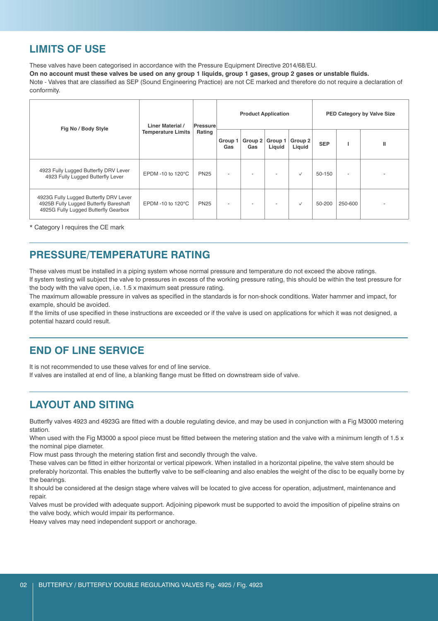#### **LIMITS OF USE**

These valves have been categorised in accordance with the Pressure Equipment Directive 2014/68/EU.

On no account must these valves be used on any group 1 liquids, group 1 gases, group 2 gases or unstable fluids.

Note - Valves that are classified as SEP (Sound Engineering Practice) are not CE marked and therefore do not require a declaration of conformity.

| Fig No / Body Style                                                                                                      | <b>Liner Material /</b><br><b>Temperature Limits</b> | Pressure<br>Rating | <b>Product Application</b> |                |                   |                   | PED Category by Valve Size |                          |              |
|--------------------------------------------------------------------------------------------------------------------------|------------------------------------------------------|--------------------|----------------------------|----------------|-------------------|-------------------|----------------------------|--------------------------|--------------|
|                                                                                                                          |                                                      |                    | Group 1<br>Gas             | Group 2<br>Gas | Group 1<br>Liquid | Group 2<br>Liquid | <b>SEP</b>                 |                          | $\mathbf{I}$ |
| 4923 Fully Lugged Butterfly DRV Lever<br>4923 Fully Lugged Butterfly Lever                                               | EPDM -10 to 120°C                                    | <b>PN25</b>        | $\overline{\phantom{a}}$   |                |                   | $\checkmark$      | 50-150                     | $\overline{\phantom{a}}$ |              |
| 4923G Fully Lugged Butterfly DRV Lever<br>4925B Fully Lugged Butterfly Bareshaft<br>4925G Fully Lugged Butterfly Gearbox | EPDM -10 to 120°C                                    | <b>PN25</b>        | $\overline{\phantom{a}}$   |                |                   | $\checkmark$      | 50-200                     | 250-600                  |              |

\* Category I requires the CE mark

#### **PRESSURE/TEMPERATURE RATING**

These valves must be installed in a piping system whose normal pressure and temperature do not exceed the above ratings. If system testing will subject the valve to pressures in excess of the working pressure rating, this should be within the test pressure for the body with the valve open, i.e. 1.5 x maximum seat pressure rating.

The maximum allowable pressure in valves as specified in the standards is for non-shock conditions. Water hammer and impact, for example, should be avoided.

If the limits of use specified in these instructions are exceeded or if the valve is used on applications for which it was not designed, a potential hazard could result.

#### **END OF LINE SERVICE**

It is not recommended to use these valves for end of line service. If valves are installed at end of line, a blanking flange must be fitted on downstream side of valve.

### **LAYOUT AND SITING**

Butterfly valves 4923 and 4923G are fitted with a double regulating device, and may be used in conjunction with a Fig M3000 metering station.

When used with the Fig M3000 a spool piece must be fitted between the metering station and the valve with a minimum length of 1.5 x the nominal pipe diameter.

Flow must pass through the metering station first and secondly through the valve.

These valves can be fitted in either horizontal or vertical pipework. When installed in a horizontal pipeline, the valve stem should be preferably horizontal. This enables the butterfly valve to be self-cleaning and also enables the weight of the disc to be equally borne by the bearings.

It should be considered at the design stage where valves will be located to give access for operation, adjustment, maintenance and repair.

Valves must be provided with adequate support. Adjoining pipework must be supported to avoid the imposition of pipeline strains on the valve body, which would impair its performance.

Heavy valves may need independent support or anchorage.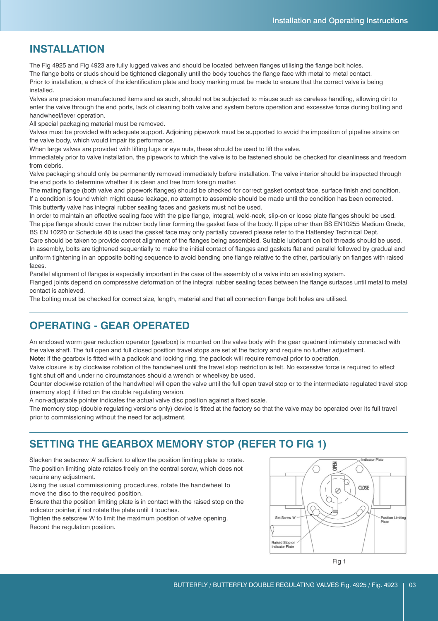#### **INSTALLATION**

The Fig 4925 and Fig 4923 are fully lugged valves and should be located between flanges utilising the flange bolt holes. The flange bolts or studs should be tightened diagonally until the body touches the flange face with metal to metal contact.

Prior to installation, a check of the identification plate and body marking must be made to ensure that the correct valve is being installed.

Valves are precision manufactured items and as such, should not be subjected to misuse such as careless handling, allowing dirt to enter the valve through the end ports, lack of cleaning both valve and system before operation and excessive force during bolting and handwheel/lever operation.

All special packaging material must be removed.

Valves must be provided with adequate support. Adjoining pipework must be supported to avoid the imposition of pipeline strains on the valve body, which would impair its performance.

When large valves are provided with lifting lugs or eye nuts, these should be used to lift the valve.

Immediately prior to valve installation, the pipework to which the valve is to be fastened should be checked for cleanliness and freedom from debris.

Valve packaging should only be permanently removed immediately before installation. The valve interior should be inspected through the end ports to determine whether it is clean and free from foreign matter.

The mating flange (both valve and pipework flanges) should be checked for correct gasket contact face, surface finish and condition. If a condition is found which might cause leakage, no attempt to assemble should be made until the condition has been corrected. This butterfly valve has integral rubber sealing faces and gaskets must not be used.

In order to maintain an effective sealing face with the pipe flange, integral, weld-neck, slip-on or loose plate flanges should be used. The pipe flange should cover the rubber body liner forming the gasket face of the body. If pipe other than BS EN10255 Medium Grade, BS EN 10220 or Schedule 40 is used the gasket face may only partially covered please refer to the Hattersley Technical Dept.

Care should be taken to provide correct alignment of the flanges being assembled. Suitable lubricant on bolt threads should be used. In assembly, bolts are tightened sequentially to make the initial contact of flanges and gaskets flat and parallel followed by gradual and uniform tightening in an opposite bolting sequence to avoid bending one flange relative to the other, particularly on flanges with raised faces.

Parallel alignment of flanges is especially important in the case of the assembly of a valve into an existing system.

Flanged joints depend on compressive deformation of the integral rubber sealing faces between the flange surfaces until metal to metal contact is achieved.

The bolting must be checked for correct size, length, material and that all connection flange bolt holes are utilised.

#### **OPERATING - GEAR OPERATED**

An enclosed worm gear reduction operator (gearbox) is mounted on the valve body with the gear quadrant intimately connected with the valve shaft. The full open and full closed position travel stops are set at the factory and require no further adjustment.

**Note:** if the gearbox is fitted with a padlock and locking ring, the padlock will require removal prior to operation.

Valve closure is by clockwise rotation of the handwheel until the travel stop restriction is felt. No excessive force is required to effect tight shut off and under no circumstances should a wrench or wheelkey be used.

Counter clockwise rotation of the handwheel will open the valve until the full open travel stop or to the intermediate regulated travel stop (memory stop) if fitted on the double regulating version.

A non-adjustable pointer indicates the actual valve disc position against a fixed scale.

The memory stop (double regulating versions only) device is fitted at the factory so that the valve may be operated over its full travel prior to commissioning without the need for adjustment.

### **SETTING THE GEARBOX MEMORY STOP (REFER TO FIG 1)**

Slacken the setscrew 'A' sufficient to allow the position limiting plate to rotate. The position limiting plate rotates freely on the central screw, which does not require any adjustment.

Using the usual commissioning procedures, rotate the handwheel to move the disc to the required position.

Ensure that the position limiting plate is in contact with the raised stop on the indicator pointer, if not rotate the plate until it touches.

Tighten the setscrew 'A' to limit the maximum position of valve opening. Record the regulation position.